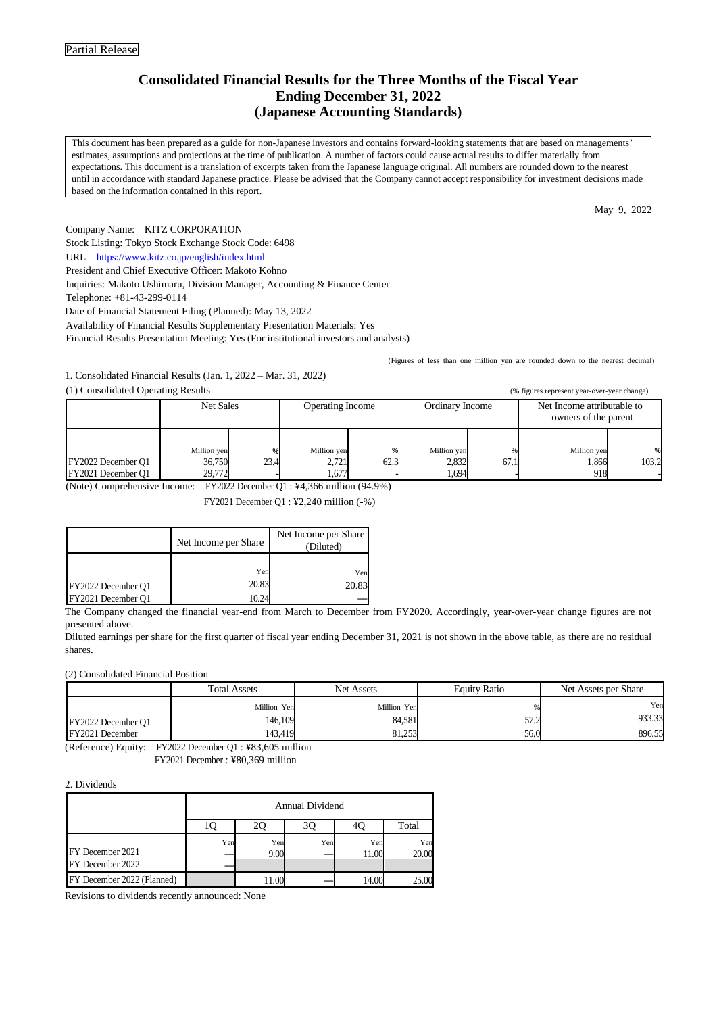## **Consolidated Financial Results for the Three Months of the Fiscal Year Ending December 31, 2022 (Japanese Accounting Standards)**

This document has been prepared as a guide for non-Japanese investors and contains forward-looking statements that are based on managements' estimates, assumptions and projections at the time of publication. A number of factors could cause actual results to differ materially from expectations. This document is a translation of excerpts taken from the Japanese language original. All numbers are rounded down to the nearest until in accordance with standard Japanese practice. Please be advised that the Company cannot accept responsibility for investment decisions made based on the information contained in this report.

May 9, 2022

Company Name: KITZ CORPORATION Stock Listing: Tokyo Stock Exchange Stock Code: 6498 URL [https://www.kitz.co.jp/english/index.html](http://www.kitz.co.jp/english/index.html) President and Chief Executive Officer: Makoto Kohno Inquiries: Makoto Ushimaru, Division Manager, Accounting & Finance Center Telephone: +81-43-299-0114 Date of Financial Statement Filing (Planned): May 13, 2022 Availability of Financial Results Supplementary Presentation Materials: Yes

Financial Results Presentation Meeting: Yes (For institutional investors and analysts)

1. Consolidated Financial Results (Jan. 1, 2022 – Mar. 31, 2022)

(1) Consolidated Operating Results (% figures represent year-over-year change)

| $(1)$ consonance operaing research       |                                 |           |                               |      |                               |      | $\frac{1}{2}$ rights represent your over your ending $\frac{1}{2}$ |            |
|------------------------------------------|---------------------------------|-----------|-------------------------------|------|-------------------------------|------|--------------------------------------------------------------------|------------|
|                                          | Net Sales                       |           | <b>Operating Income</b>       |      | Ordinary Income               |      | Net Income attributable to<br>owners of the parent                 |            |
| FY2022 December Q1<br>FY2021 December O1 | Million yen<br>36,750<br>29,772 | %<br>23.4 | Million yen<br>2,721<br>1,677 | 62.3 | Million yen<br>2,832<br>1,694 | 67.1 | Million yen<br>1,866<br>918                                        | %<br>103.2 |

(Note) Comprehensive Income: FY2022 December Q1 : ¥4,366 million (94.9%)

FY2021 December Q1 : ¥2,240 million (-%)

|                    | Net Income per Share | Net Income per Share<br>(Diluted) |
|--------------------|----------------------|-----------------------------------|
|                    | Yen                  | Yen                               |
| FY2022 December Q1 | 20.83                | 20.83                             |
| FY2021 December Q1 | 10.24                |                                   |

The Company changed the financial year-end from March to December from FY2020. Accordingly, year-over-year change figures are not presented above.

Diluted earnings per share for the first quarter of fiscal year ending December 31, 2021 is not shown in the above table, as there are no residual shares.

(2) Consolidated Financial Position

|                    | <b>Total Assets</b> | Net Assets  | Equity Ratio | Net Assets per Share |
|--------------------|---------------------|-------------|--------------|----------------------|
|                    | Million Yen         | Million Yen |              | Yen                  |
| FY2022 December O1 | 146.109             | 84,581      | 57.2         | 933.33               |
| FY2021 December    | 143.419             | 81.253      | 56.0         | 896.55               |

(Reference) Equity: FY2022 December Q1 : ¥83,605 million

FY2021 December : ¥80,369 million

2. Dividends

|                                      | <b>Annual Dividend</b> |             |     |              |              |  |  |  |  |
|--------------------------------------|------------------------|-------------|-----|--------------|--------------|--|--|--|--|
|                                      |                        |             |     |              | Total        |  |  |  |  |
| FY December 2021<br>FY December 2022 | Yen                    | Yen<br>9.00 | Yen | Yen<br>11.00 | Yen<br>20.00 |  |  |  |  |
| FY December 2022 (Planned)           |                        |             |     | 14.00        | 25.00        |  |  |  |  |

Revisions to dividends recently announced: None

(Figures of less than one million yen are rounded down to the nearest decimal)